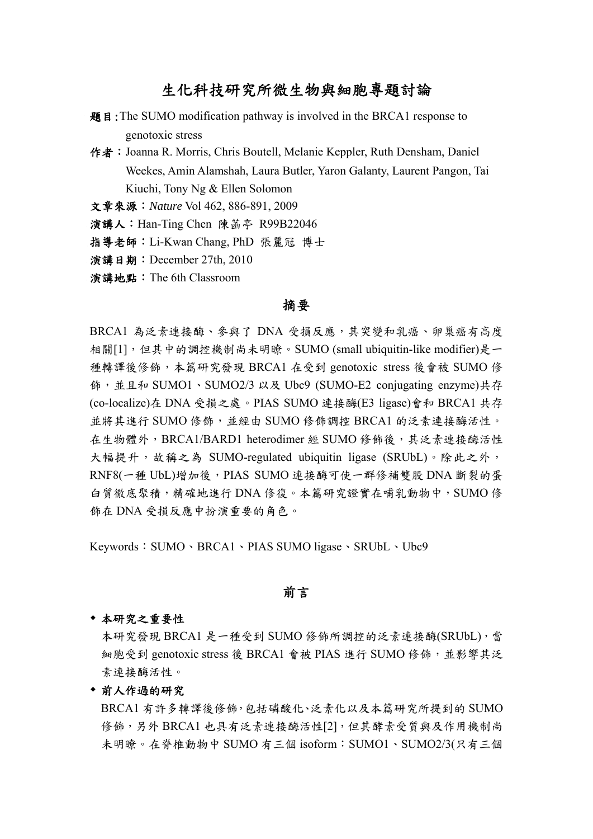# 生化科技研究所微生物與細胞專題討論

- 題目:The SUMO modification pathway is involved in the BRCA1 response to genotoxic stress
- 作者: Joanna R. Morris, Chris Boutell, Melanie Keppler, Ruth Densham, Daniel Weekes, Amin Alamshah, Laura Butler, Yaron Galanty, Laurent Pangon, Tai Kiuchi, Tony Ng & Ellen Solomon

文章來源:*Nature* Vol 462, 886-891, 2009

演講人:Han-Ting Chen 陳菡亭 R99B22046

指導老師:Li-Kwan Chang, PhD 張麗冠 博士

演講日期:December 27th, 2010

演講地點:The 6th Classroom

## 摘要

BRCA1 為泛素連接酶、參與了 DNA 受損反應,其突變和乳癌、卵巢癌有高度 相關[1],但其中的調控機制尚未明瞭。SUMO (small ubiquitin-like modifier)是一 種轉譯後修飾,本篇研究發現 BRCA1 在受到 genotoxic stress 後會被 SUMO 修 飾,並且和 SUMO1、SUMO2/3 以及 Ubc9 (SUMO-E2 conjugating enzyme)共存 (co-localize)在 DNA 受損之處。PIAS SUMO 連接酶(E3 ligase)會和 BRCA1 共存 並將其進行 SUMO 修飾,並經由 SUMO 修飾調控 BRCA1 的泛素連接酶活性。 在生物體外,BRCA1/BARD1 heterodimer 經 SUMO 修飾後,其泛素連接酶活性 大幅提升,故稱之為 SUMO-regulated ubiquitin ligase (SRUbL)。除此之外, RNF8(一種 UbL)增加後,PIAS SUMO 連接酶可使一群修補雙股 DNA 斷裂的蛋 白質徹底聚積,精確地進行 DNA 修復。本篇研究證實在哺乳動物中,SUMO 修 飾在 DNA 受損反應中扮演重要的角色。

Keywords: SUMO、BRCA1、PIAS SUMO ligase、SRUbL、Ubc9

# 前言

#### 本研究之重要性

本研究發現 BRCA1 是一種受到 SUMO 修飾所調控的泛素連接酶(SRUbL),當 細胞受到 genotoxic stress 後 BRCA1 會被 PIAS 進行 SUMO 修飾,並影響其泛 素連接酶活性。

#### 前人作過的研究

BRCA1 有許多轉譯後修飾,包括磷酸化、泛素化以及本篇研究所提到的 SUMO 修飾,另外 BRCA1 也具有泛素連接酶活性[2],但其酵素受質與及作用機制尚 未明瞭。在脊椎動物中 SUMO 有三個 isoform:SUMO1、SUMO2/3(只有三個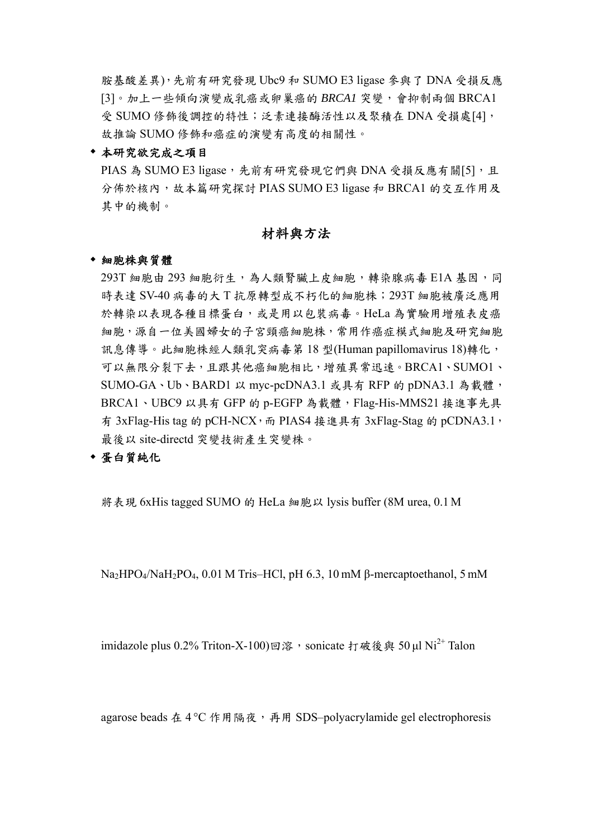胺基酸差異),先前有研究發現 Ubc9 和 SUMO E3 ligase 參與了 DNA 受損反應 [3]。加上一些傾向演變成乳癌或卵巢癌的 *BRCA1* 突變,會抑制兩個 BRCA1 受 SUMO 修飾後調控的特性;泛素連接酶活性以及聚積在 DNA 受損處[4], 故推論 SUMO 修飾和癌症的演變有高度的相關性。

## 本研究欲完成之項目

PIAS 為 SUMO E3 ligase,先前有研究發現它們與 DNA 受損反應有關[5],且 分佈於核內,故本篇研究探討 PIAS SUMO E3 ligase 和 BRCA1 的交互作用及 其中的機制。

# 材料與方法

#### 細胞株與質體

293T 細胞由 293 細胞衍生,為人類腎臟上皮細胞,轉染腺病毒 E1A 基因,同 時表達 SV-40 病毒的大 T 抗原轉型成不朽化的細胞株;293T 細胞被廣泛應用 於轉染以表現各種目標蛋白,或是用以包裝病毒。HeLa 為實驗用增殖表皮癌 細胞,源自一位美國婦女的子宮頸癌細胞株,常用作癌症模式細胞及研究細胞 訊息傳導。此細胞株經人類乳突病毒第 18 型(Human papillomavirus 18)轉化, 可以無限分裂下去,且跟其他癌細胞相比,增殖異常迅速。BRCA1、SUMO1、 SUMO-GA、Ub、BARD1 以 myc-pcDNA3.1 或具有 RFP 的 pDNA3.1 為載體, BRCA1、UBC9 以具有 GFP 的 p-EGFP 為載體, Flag-His-MMS21 接進事先具 有 3xFlag-His tag 的 pCH-NCX, 而 PIAS4 接進具有 3xFlag-Stag 的 pCDNA3.1, 最後以 site-directd 突變技術產生突變株。

# 蛋白質純化

將表現 6xHis tagged SUMO 的 HeLa 細胞以 lysis buffer (8M urea, 0.1 M

Na2HPO4/NaH2PO4, 0.01 M Tris–HCl, pH 6.3, 10 mM β-mercaptoethanol, 5 mM

imidazole plus 0.2% Triton-X-100)回溶, sonicate 打破後與 50 ul Ni<sup>2+</sup> Talon

agarose beads 在 4 °C 作用隔夜,再用 SDS–polyacrylamide gel electrophoresis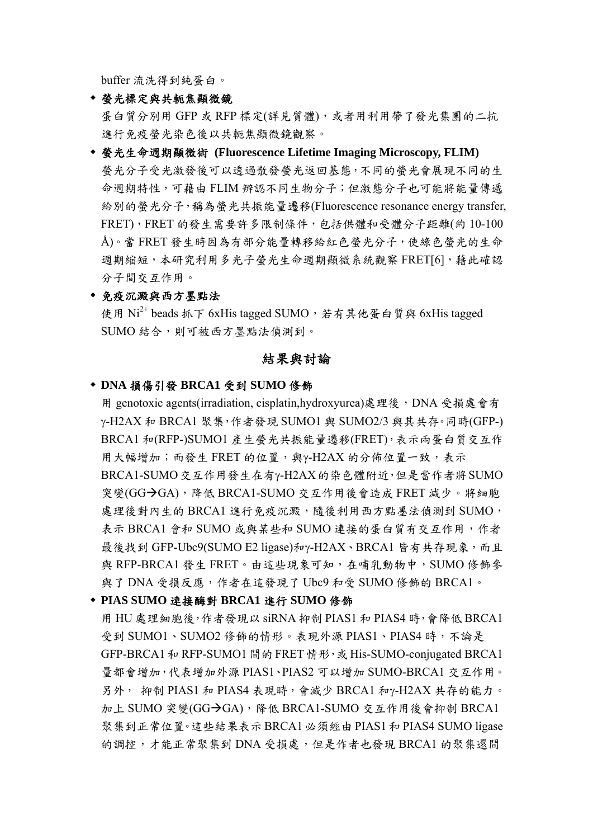buffer 流洗得到純蛋白。

螢光標定與共軛焦顯微鏡

蛋白質分別用 GFP 或 RFP 標定(詳見質體),或者用利用帶了發光集團的二抗 進行免疫螢光染色後以共軛焦顯微鏡觀察。

 螢光生命週期顯微術 **(Fluorescence Lifetime Imaging Microscopy, FLIM)**  螢光分子受光激發後可以透過散發螢光返回基態,不同的螢光會展現不同的生 命週期特性,可藉由 FLIM 辨認不同生物分子;但激態分子也可能將能量傳遞 給別的螢光分子,稱為螢光共振能量遷移(Fluorescence resonance energy transfer, FRET),FRET 的發生需要許多限制條件,包括供體和受體分子距離(約 10-100 Å)。當 FRET 發生時因為有部分能量轉移給紅色螢光分子,使綠色螢光的生命 週期縮短,本研究利用多光子螢光生命週期顯微系統觀察 FRET[6],藉此確認 分子間交互作用。

## 免疫沉澱與西方墨點法

使用  $Ni^{2+}$  beads 抓下 6xHis tagged SUMO, 若有其他蛋白質與 6xHis tagged SUMO 結合,則可被西方墨點法偵測到。

### 結果與討論

#### **DNA** 損傷引發 **BRCA1** 受到 **SUMO** 修飾

用 genotoxic agents(irradiation, cisplatin,hydroxyurea)處理後,DNA 受損處會有 γ-H2AX 和 BRCA1 聚集,作者發現 SUMO1 與 SUMO2/3 與其共存。同時(GFP-) BRCA1 和(RFP-)SUMO1 產生螢光共振能量遷移(FRET),表示兩蛋白質交互作 用大幅增加;而發生 FRET 的位置,與γ-H2AX 的分佈位置一致,表示 BRCA1-SUMO交互作用發生在有γ-H2AX的染色體附近,但是當作者將SUMO 突變(GG→GA),降低 BRCA1-SUMO 交互作用後會造成 FRET 減少。將細胞 處理後對內生的 BRCA1 進行免疫沉澱,隨後利用西方點墨法偵測到 SUMO, 表示 BRCA1 會和 SUMO 或與某些和 SUMO 連接的蛋白質有交互作用,作者 最後找到 GFP-Ubc9(SUMO E2 ligase)和y-H2AX、BRCA1 皆有共存現象,而且 與 RFP-BRCA1 發生 FRET。由這些現象可知,在哺乳動物中, SUMO 修飾參 與了 DNA 受損反應, 作者在這發現了 Ubc9 和受 SUMO 修飾的 BRCA1。

## **PIAS SUMO** 連接酶對 **BRCA1** 進行 **SUMO** 修飾

用 HU 處理細胞後,作者發現以 siRNA 抑制 PIAS1 和 PIAS4 時,會降低 BRCA1 受到 SUMO1、SUMO2 修飾的情形。表現外源 PIAS1、PIAS4 時,不論是 GFP-BRCA1 和 RFP-SUMO1 間的 FRET 情形,或 His-SUMO-conjugated BRCA1 量都會增加,代表增加外源 PIAS1、PIAS2 可以增加 SUMO-BRCA1 交互作用。 另外, 抑制 PIAS1 和 PIAS4 表現時,會減少 BRCA1 和γ-H2AX 共存的能力。 加上 SUMO 突變(GG→GA),降低 BRCA1-SUMO 交互作用後會抑制 BRCA1 聚集到正常位置。這些結果表示 BRCA1 必須經由 PIAS1 和 PIAS4 SUMO ligase 的調控,才能正常聚集到 DNA 受損處,但是作者也發現 BRCA1 的聚集還間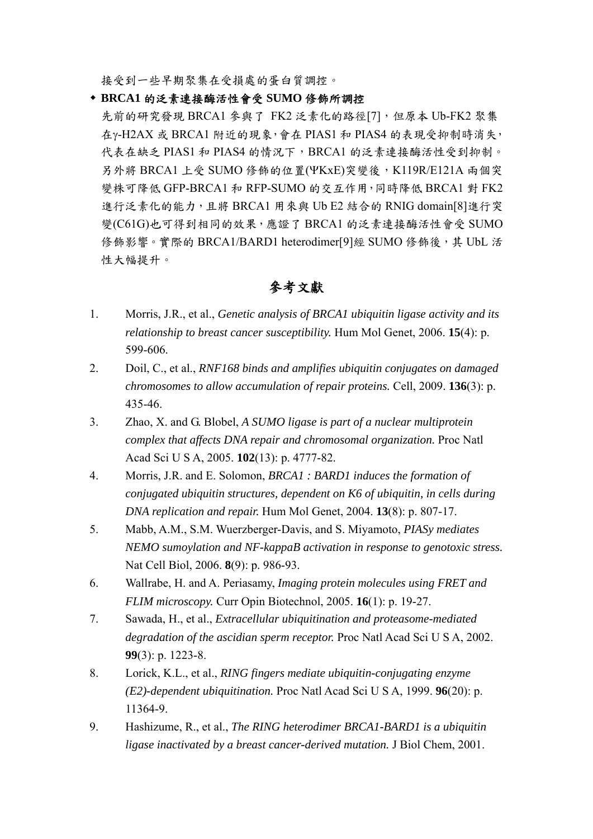接受到一些早期聚集在受損處的蛋白質調控。

- **BRCA1** 的泛素連接酶活性會受 **SUMO** 修飾所調控
- 先前的研究發現 BRCA1 參與了 FK2 泛素化的路徑[7],但原本 Ub-FK2 聚集 在γ-H2AX 或 BRCA1 附近的現象,會在 PIAS1 和 PIAS4 的表現受抑制時消失, 代表在缺乏 PIAS1 和 PIAS4 的情况下,BRCA1 的泛素連接酶活性受到抑制。 另外將 BRCA1 上受 SUMO 修飾的位置(ΨКхЕ)突變後, K119R/E121A 兩個突 變株可降低 GFP-BRCA1 和 RFP-SUMO 的交互作用,同時降低 BRCA1 對 FK2 進行泛素化的能力,且將 BRCA1 用來與 Ub E2 結合的 RNIG domain[8]進行突 變(C61G)也可得到相同的效果,應證了 BRCA1 的泛素連接酶活性會受 SUMO 修飾影響。實際的 BRCA1/BARD1 heterodimer[9]經 SUMO 修飾後,其 UbL 活 性大幅提升。

# 參考文獻

- 1. Morris, J.R., et al., *Genetic analysis of BRCA1 ubiquitin ligase activity and its relationship to breast cancer susceptibility.* Hum Mol Genet, 2006. **15**(4): p. 599-606.
- 2. Doil, C., et al., *RNF168 binds and amplifies ubiquitin conjugates on damaged chromosomes to allow accumulation of repair proteins.* Cell, 2009. **136**(3): p. 435-46.
- 3. Zhao, X. and G. Blobel, *A SUMO ligase is part of a nuclear multiprotein complex that affects DNA repair and chromosomal organization.* Proc Natl Acad Sci U S A, 2005. **102**(13): p. 4777-82.
- 4. Morris, J.R. and E. Solomon, *BRCA1 : BARD1 induces the formation of conjugated ubiquitin structures, dependent on K6 of ubiquitin, in cells during DNA replication and repair.* Hum Mol Genet, 2004. **13**(8): p. 807-17.
- 5. Mabb, A.M., S.M. Wuerzberger-Davis, and S. Miyamoto, *PIASy mediates NEMO sumoylation and NF-kappaB activation in response to genotoxic stress.* Nat Cell Biol, 2006. **8**(9): p. 986-93.
- 6. Wallrabe, H. and A. Periasamy, *Imaging protein molecules using FRET and FLIM microscopy.* Curr Opin Biotechnol, 2005. **16**(1): p. 19-27.
- 7. Sawada, H., et al., *Extracellular ubiquitination and proteasome-mediated degradation of the ascidian sperm receptor.* Proc Natl Acad Sci U S A, 2002. **99**(3): p. 1223-8.
- 8. Lorick, K.L., et al., *RING fingers mediate ubiquitin-conjugating enzyme (E2)-dependent ubiquitination.* Proc Natl Acad Sci U S A, 1999. **96**(20): p. 11364-9.
- 9. Hashizume, R., et al., *The RING heterodimer BRCA1-BARD1 is a ubiquitin ligase inactivated by a breast cancer-derived mutation.* J Biol Chem, 2001.